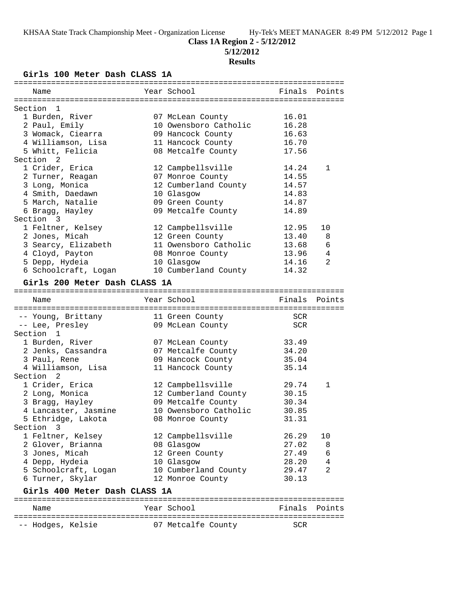# **Class 1A Region 2 - 5/12/2012**

**5/12/2012**

## **Results**

**Girls 100 Meter Dash CLASS 1A**

| Name                          | Year School           | Finals Points |        |
|-------------------------------|-----------------------|---------------|--------|
|                               |                       |               |        |
| Section<br>$\overline{1}$     |                       |               |        |
| 1 Burden, River               | 07 McLean County      | 16.01         |        |
| 2 Paul, Emily                 | 10 Owensboro Catholic | 16.28         |        |
| 3 Womack, Ciearra             | 09 Hancock County     | 16.63         |        |
| 4 Williamson, Lisa            | 11 Hancock County     | 16.70         |        |
| 5 Whitt, Felicia              | 08 Metcalfe County    | 17.56         |        |
| Section <sub>2</sub>          |                       |               |        |
| 1 Crider, Erica               | 12 Campbellsville     | 14.24         | 1      |
| 2 Turner, Reagan              | 07 Monroe County      | 14.55         |        |
| 3 Long, Monica                | 12 Cumberland County  | 14.57         |        |
| 4 Smith, Daedawn              | 10 Glasgow            | 14.83         |        |
| 5 March, Natalie              | 09 Green County       | 14.87         |        |
| 6 Bragg, Hayley               | 09 Metcalfe County    | 14.89         |        |
| Section 3                     |                       |               |        |
| 1 Feltner, Kelsey             | 12 Campbellsville     | 12.95         | 10     |
| 2 Jones, Micah                | 12 Green County       | 13.40         | 8      |
| 3 Searcy, Elizabeth           | 11 Owensboro Catholic | 13.68         | 6      |
| 4 Cloyd, Payton               | 08 Monroe County      | 13.96         | 4      |
| 5 Depp, Hydeia                | 10 Glasgow            | 14.16         | 2      |
| 6 Schoolcraft, Logan          | 10 Cumberland County  | 14.32         |        |
|                               |                       |               |        |
| Girls 200 Meter Dash CLASS 1A |                       |               |        |
|                               |                       |               |        |
| Name                          | Year School           | Finals        | Points |
|                               |                       |               |        |
|                               |                       |               |        |
| -- Young, Brittany            | 11 Green County       | SCR           |        |
| -- Lee, Presley               | 09 McLean County      | SCR           |        |
| Section <sub>1</sub>          |                       |               |        |
| 1 Burden, River               | 07 McLean County      | 33.49         |        |
| 2 Jenks, Cassandra            | 07 Metcalfe County    | 34.20         |        |
| 3 Paul, Rene                  | 09 Hancock County     | 35.04         |        |
| 4 Williamson, Lisa            | 11 Hancock County     | 35.14         |        |
| Section 2                     |                       |               |        |
| 1 Crider, Erica               | 12 Campbellsville     | 29.74         | 1      |
| 2 Long, Monica                | 12 Cumberland County  | 30.15         |        |
| 3 Bragg, Hayley               | 09 Metcalfe County    | 30.34         |        |
| 4 Lancaster, Jasmine          | 10 Owensboro Catholic | 30.85         |        |
| 5 Ethridge, Lakota            | 08 Monroe County      | 31.31         |        |
| Section 3                     |                       |               |        |
| 1 Feltner, Kelsey             | 12 Campbellsville     | 26.29         | 10     |
| 2 Glover, Brianna             | 08 Glasgow            | 27.02         | 8      |
| 3 Jones, Micah                | 12 Green County       | 27.49         | 6      |
| 4 Depp, Hydeia                | 10 Glasgow            | 28.20         | 4      |
| 5 Schoolcraft, Logan          | 10 Cumberland County  | 29.47         | 2      |
| 6 Turner, Skylar              | 12 Monroe County      | 30.13         |        |
|                               |                       |               |        |
| Girls 400 Meter Dash CLASS 1A |                       |               |        |
| Name                          | Year School           | Finals        | Points |
| -- Hodges, Kelsie             | 07 Metcalfe County    | SCR           |        |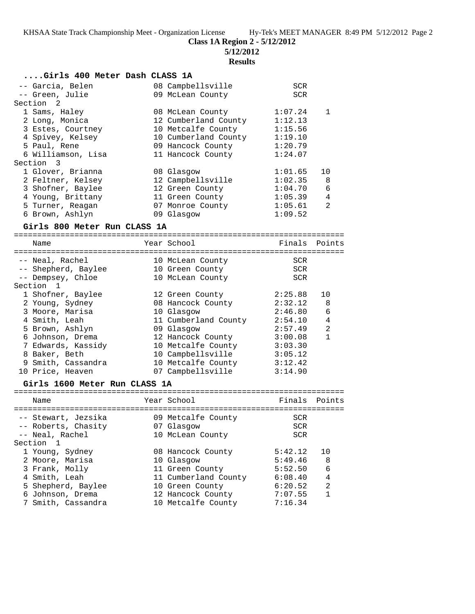**Class 1A Region 2 - 5/12/2012**

**5/12/2012**

## **Results**

## **....Girls 400 Meter Dash CLASS 1A**

| -- Garcia, Belen     | 08 Campbellsville    | <b>SCR</b>                |  |
|----------------------|----------------------|---------------------------|--|
| -- Green, Julie      | 09 McLean County     | <b>SCR</b>                |  |
| Section <sub>2</sub> |                      |                           |  |
| 1 Sams, Haley        | 08 McLean County     | 1:07.24                   |  |
| 2 Long, Monica       | 12 Cumberland County | 1:12.13                   |  |
| 3 Estes, Courtney    | 10 Metcalfe County   | 1:15.56                   |  |
| 4 Spivey, Kelsey     | 10 Cumberland County | 1:19.10                   |  |
| 5 Paul, Rene         | 09 Hancock County    | 1:20.79                   |  |
| 6 Williamson, Lisa   | 11 Hancock County    | 1:24.07                   |  |
| Section 3            |                      |                           |  |
| 1 Glover, Brianna    | 08 Glasgow           | 1:01.65<br>10             |  |
| 2 Feltner, Kelsey    | 12 Campbellsville    | 1:02.35<br>8              |  |
| 3 Shofner, Baylee    | 12 Green County      | 6<br>1:04.70              |  |
| 4 Young, Brittany    | 11 Green County      | 4<br>1:05.39              |  |
| 5 Turner, Reagan     | 07 Monroe County     | $\mathfrak{D}$<br>1:05.61 |  |
| 6 Brown, Ashlyn      | 09 Glasgow           | 1:09.52                   |  |

## **Girls 800 Meter Run CLASS 1A**

| Name                | Year School          | Finals Points |                |
|---------------------|----------------------|---------------|----------------|
|                     |                      |               |                |
| -- Neal, Rachel     | 10 McLean County     | <b>SCR</b>    |                |
| -- Shepherd, Baylee | 10 Green County      | SCR           |                |
| -- Dempsey, Chloe   | 10 McLean County     | SCR           |                |
| Section 1           |                      |               |                |
| 1 Shofner, Baylee   | 12 Green County      | 2:25.88       | 10             |
| 2 Young, Sydney     | 08 Hancock County    | 2:32.12       | 8              |
| 3 Moore, Marisa     | 10 Glasgow           | 2:46.80       | 6              |
| 4 Smith, Leah       | 11 Cumberland County | 2:54.10       | 4              |
| 5 Brown, Ashlyn     | 09 Glasgow           | 2:57.49       | $\mathfrak{D}$ |
| 6 Johnson, Drema    | 12 Hancock County    | 3:00.08       | 1              |
| 7 Edwards, Kassidy  | 10 Metcalfe County   | 3:03.30       |                |
| 8 Baker, Beth       | 10 Campbellsville    | 3:05.12       |                |
| 9 Smith, Cassandra  | 10 Metcalfe County   | 3:12.42       |                |
| 10 Price, Heaven    | 07 Campbellsville    | 3:14.90       |                |
|                     |                      |               |                |

## **Girls 1600 Meter Run CLASS 1A**

| Name                                       | Year School                      | Finals Points            |                |
|--------------------------------------------|----------------------------------|--------------------------|----------------|
| -- Stewart, Jezsika<br>-- Roberts, Chasity | 09 Metcalfe County<br>07 Glasgow | <b>SCR</b><br><b>SCR</b> |                |
| -- Neal, Rachel<br>Section 1               | 10 McLean County                 | <b>SCR</b>               |                |
| 1 Young, Sydney                            | 08 Hancock County                | 5:42.12                  | 10             |
| 2 Moore, Marisa                            | 10 Glasgow                       | 5:49.46                  | 8              |
| 3 Frank, Molly                             | 11 Green County                  | 5:52.50                  | 6              |
| 4 Smith, Leah                              | 11 Cumberland County             | 6:08.40                  | $\overline{4}$ |
| 5 Shepherd, Baylee                         | 10 Green County                  | 6:20.52                  | $\mathfrak{D}$ |
| 6 Johnson, Drema                           | 12 Hancock County                | 7:07.55                  | 1              |
| 7 Smith, Cassandra                         | 10 Metcalfe County               | 7:16.34                  |                |
|                                            |                                  |                          |                |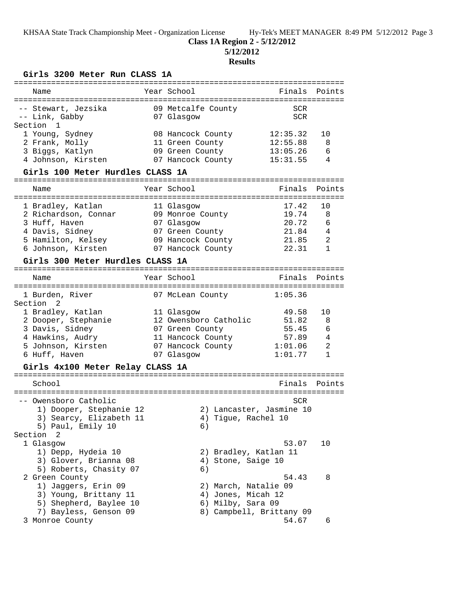# **Class 1A Region 2 - 5/12/2012**

**5/12/2012**

## **Results**

## **Girls 3200 Meter Run CLASS 1A**

| Name                                                                                                                                                          | Year School                                                                                                    | Finals                                                 | Points                                 |
|---------------------------------------------------------------------------------------------------------------------------------------------------------------|----------------------------------------------------------------------------------------------------------------|--------------------------------------------------------|----------------------------------------|
| -- Stewart, Jezsika<br>-- Link, Gabby<br>Section 1                                                                                                            | 09 Metcalfe County<br>07 Glasgow                                                                               | <b>SCR</b><br>SCR                                      |                                        |
| 1 Young, Sydney<br>2 Frank, Molly<br>3 Biggs, Katlyn                                                                                                          | 08 Hancock County<br>11 Green County<br>09 Green County                                                        | 12:35.32<br>12:55.88<br>13:05.26                       | 10<br>8<br>6                           |
| 4 Johnson, Kirsten                                                                                                                                            | 07 Hancock County                                                                                              | 15:31.55                                               | 4                                      |
| Girls 100 Meter Hurdles CLASS 1A                                                                                                                              |                                                                                                                |                                                        |                                        |
| Name                                                                                                                                                          | Year School                                                                                                    | Finals                                                 | Points                                 |
| 1 Bradley, Katlan<br>2 Richardson, Connar<br>3 Huff, Haven<br>4 Davis, Sidney<br>5 Hamilton, Kelsey<br>6 Johnson, Kirsten<br>Girls 300 Meter Hurdles CLASS 1A | 11 Glasgow<br>09 Monroe County<br>07 Glasgow<br>07 Green County<br>09 Hancock County<br>07 Hancock County      | 17.42<br>19.74<br>20.72<br>21.84<br>21.85<br>22.31     | 10<br>8<br>6<br>4<br>2<br>$\mathbf{1}$ |
|                                                                                                                                                               |                                                                                                                |                                                        |                                        |
| Name                                                                                                                                                          | Year School                                                                                                    | Finals                                                 | Points                                 |
| 1 Burden, River<br>Section 2                                                                                                                                  | 07 McLean County                                                                                               | 1:05.36                                                |                                        |
| 1 Bradley, Katlan<br>2 Dooper, Stephanie<br>3 Davis, Sidney<br>4 Hawkins, Audry<br>5 Johnson, Kirsten<br>6 Huff, Haven                                        | 11 Glasgow<br>12 Owensboro Catholic<br>07 Green County<br>11 Hancock County<br>07 Hancock County<br>07 Glasgow | 49.58<br>51.82<br>55.45<br>57.89<br>1:01.06<br>1:01.77 | 10<br>8<br>6<br>4<br>2<br>$\mathbf{1}$ |
| Girls 4x100 Meter Relay CLASS 1A                                                                                                                              |                                                                                                                |                                                        |                                        |
| School                                                                                                                                                        |                                                                                                                | Finals                                                 | Points                                 |
| -- Owensboro Catholic<br>1) Dooper, Stephanie 12<br>3) Searcy, Elizabeth 11<br>5) Paul, Emily 10                                                              | 2) Lancaster, Jasmine 10<br>4) Tique, Rachel 10<br>6)                                                          | SCR                                                    |                                        |
| Section 2<br>1 Glasgow<br>1) Depp, Hydeia 10<br>3) Glover, Brianna 08<br>5) Roberts, Chasity 07                                                               | 2) Bradley, Katlan 11<br>4) Stone, Saige 10<br>6)                                                              | 53.07                                                  | 10                                     |
| 2 Green County<br>1) Jaggers, Erin 09<br>3) Young, Brittany 11<br>5) Shepherd, Baylee 10<br>7) Bayless, Genson 09                                             | 2) March, Natalie 09<br>4) Jones, Micah 12<br>6) Milby, Sara 09<br>8) Campbell, Brittany 09                    | 54.43                                                  | 8                                      |
| 3 Monroe County                                                                                                                                               |                                                                                                                | 54.67                                                  | 6                                      |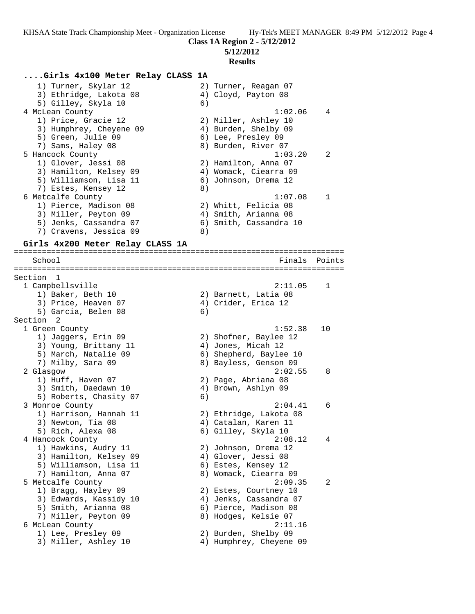**5/12/2012**

### **Results**

### **....Girls 4x100 Meter Relay CLASS 1A**

| 1) Turner, Skylar 12    | 2) Turner, Reagan 07   |  |
|-------------------------|------------------------|--|
| 3) Ethridge, Lakota 08  | 4) Cloyd, Payton 08    |  |
| 5) Gilley, Skyla 10     | 6)                     |  |
| 4 McLean County         | 1:02.06<br>4           |  |
| 1) Price, Gracie 12     | 2) Miller, Ashley 10   |  |
| 3) Humphrey, Cheyene 09 | 4) Burden, Shelby 09   |  |
| 5) Green, Julie 09      | 6) Lee, Presley 09     |  |
| 7) Sams, Haley 08       | 8) Burden, River 07    |  |
| 5 Hancock County        | 1:03.20<br>2           |  |
| 1) Glover, Jessi 08     | 2) Hamilton, Anna 07   |  |
| 3) Hamilton, Kelsey 09  | 4) Womack, Ciearra 09  |  |
| 5) Williamson, Lisa 11  | 6) Johnson, Drema 12   |  |
| 7) Estes, Kensey 12     | 8)                     |  |
| 6 Metcalfe County       | 1:07.08                |  |
| 1) Pierce, Madison 08   | 2) Whitt, Felicia 08   |  |
| 3) Miller, Peyton 09    | 4) Smith, Arianna 08   |  |
| 5) Jenks, Cassandra 07  | 6) Smith, Cassandra 10 |  |
| 7) Cravens, Jessica 09  | 8)                     |  |

#### **Girls 4x200 Meter Relay CLASS 1A**

======================================================================= School **Finals** Points ======================================================================= Section 1 1 Campbellsville 2:11.05 1 1) Baker, Beth 10 2) Barnett, Latia 08 3) Price, Heaven 07 4) Crider, Erica 12 5) Garcia, Belen 08 (6) Section 2 1 Green County 1:52.38 10 1) Jaggers, Erin 09 2) Shofner, Baylee 12 3) Young, Brittany 11 (4) Jones, Micah 12 5) March, Natalie 09 6) Shepherd, Baylee 10 7) Milby, Sara 09 8) Bayless, Genson 09 2 Glasgow 2:02.55 8 1) Huff, Haven 07 2) Page, Abriana 08 3) Smith, Daedawn 10 (4) Brown, Ashlyn 09 5) Roberts, Chasity 07 6) 3 Monroe County 2:04.41 6 1) Harrison, Hannah 11 2) Ethridge, Lakota 08 3) Newton, Tia 08 4) Catalan, Karen 11 5) Rich, Alexa 08 6) Gilley, Skyla 10 4 Hancock County 2:08.12 4 1) Hawkins, Audry 11 2) Johnson, Drema 12 3) Hamilton, Kelsey 09 4) Glover, Jessi 08 5) Williamson, Lisa 11 (6) Estes, Kensey 12 7) Hamilton, Anna 07 8) Womack, Ciearra 09 5 Metcalfe County 2:09.35 2 1) Bragg, Hayley 09 2) Estes, Courtney 10 3) Edwards, Kassidy 10 4) Jenks, Cassandra 07 5) Smith, Arianna 08 6) Pierce, Madison 08 7) Miller, Peyton 09 8) Hodges, Kelsie 07 6 McLean County 2:11.16 1) Lee, Presley 09 2) Burden, Shelby 09 3) Miller, Ashley 10 4) Humphrey, Cheyene 09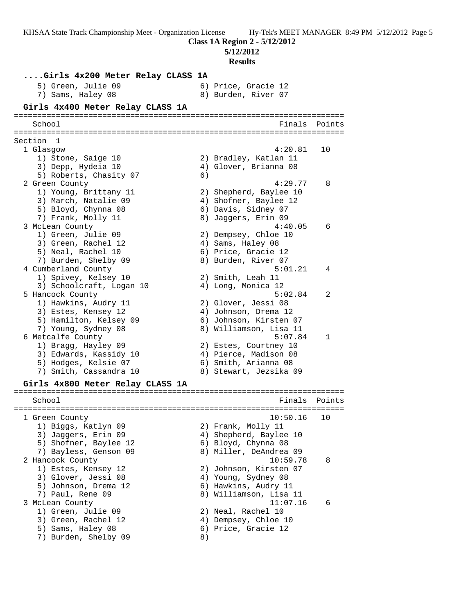**Class 1A Region 2 - 5/12/2012**

**5/12/2012**

**Results**

**....Girls 4x200 Meter Relay CLASS 1A** 5) Green, Julie 09 (6) Price, Gracie 12 7) Sams, Haley 08 8) Burden, River 07 **Girls 4x400 Meter Relay CLASS 1A** ======================================================================= School **Finals Points** ======================================================================= Section 1 1 Glasgow 4:20.81 10 1) Stone, Saige 10 2) Bradley, Katlan 11 3) Depp, Hydeia 10 4) Glover, Brianna 08 5) Roberts, Chasity 07 6) 2 Green County 4:29.77 8 1) Young, Brittany 11 2) Shepherd, Baylee 10 3) March, Natalie 09 4) Shofner, Baylee 12 5) Bloyd, Chynna 08 6) Davis, Sidney 07 7) Frank, Molly 11 8) Jaggers, Erin 09 3 McLean County 4:40.05 6 1) Green, Julie 09 2) Dempsey, Chloe 10 3) Green, Rachel 12 (4) Sams, Haley 08 5) Neal, Rachel 10 6) Price, Gracie 12 7) Burden, Shelby 09 8) Burden, River 07 4 Cumberland County 5:01.21 4 1) Spivey, Kelsey 10 2) Smith, Leah 11 3) Schoolcraft, Logan 10 (4) Long, Monica 12 5 Hancock County 5:02.84 2 1) Hawkins, Audry 11 2) Glover, Jessi 08 3) Estes, Kensey 12 (4) Johnson, Drema 12 5) Hamilton, Kelsey 09 6) Johnson, Kirsten 07 7) Young, Sydney 08 8) Williamson, Lisa 11 6 Metcalfe County 5:07.84 1 1) Bragg, Hayley 09 2) Estes, Courtney 10 3) Edwards, Kassidy 10 4) Pierce, Madison 08 5) Hodges, Kelsie 07 (6) Smith, Arianna 08 7) Smith, Cassandra 10 8) Stewart, Jezsika 09 **Girls 4x800 Meter Relay CLASS 1A** ======================================================================= School **Finals Points** ======================================================================= 1 Green County 10:50.16 10 1) Biggs, Katlyn 09 2) Frank, Molly 11 3) Jaggers, Erin 09 4) Shepherd, Baylee 10 5) Shofner, Baylee 12 (6) Bloyd, Chynna 08 7) Bayless, Genson 09 8) Miller, DeAndrea 09 2 Hancock County 10:59.78 8 1) Estes, Kensey 12 2) Johnson, Kirsten 07 3) Glover, Jessi 08 (4) Young, Sydney 08 5) Johnson, Drema 12 (6) Hawkins, Audry 11 7) Paul, Rene 09 8) Williamson, Lisa 11 3 McLean County 11:07.16 6 1) Green, Julie 09 2) Neal, Rachel 10 3) Green, Rachel 12 (4) Dempsey, Chloe 10 5) Sams, Haley 08 6) Price, Gracie 12 7) Burden, Shelby 09 8)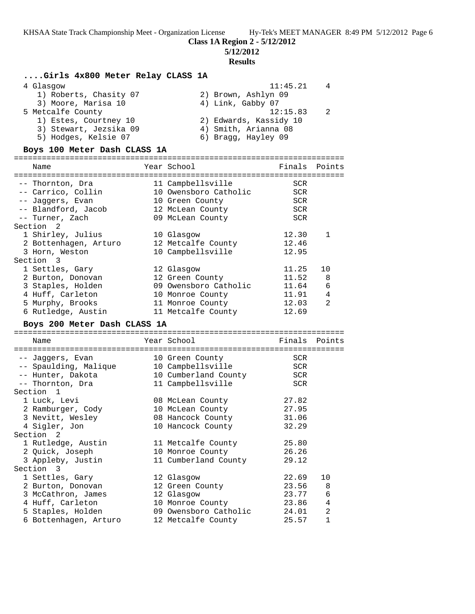**Class 1A Region 2 - 5/12/2012**

**5/12/2012**

### **Results**

## **....Girls 4x800 Meter Relay CLASS 1A**

| 4 Glasqow              | 11:45.21<br>4          |  |
|------------------------|------------------------|--|
| 1) Roberts, Chasity 07 | 2) Brown, Ashlyn 09    |  |
| 3) Moore, Marisa 10    | 4) Link, Gabby 07      |  |
| 5 Metcalfe County      | 12:15.83<br>2          |  |
| 1) Estes, Courtney 10  | 2) Edwards, Kassidy 10 |  |
| 3) Stewart, Jezsika 09 | 4) Smith, Arianna 08   |  |
| 5) Hodges, Kelsie 07   | 6) Bragg, Hayley 09    |  |
|                        |                        |  |

### **Boys 100 Meter Dash CLASS 1A**

======================================================================= Finals Points

| nam                   |  |                                                                                                                                                                                                                                                                                                       | <b>LULLLU</b> |
|-----------------------|--|-------------------------------------------------------------------------------------------------------------------------------------------------------------------------------------------------------------------------------------------------------------------------------------------------------|---------------|
|                       |  |                                                                                                                                                                                                                                                                                                       |               |
| -- Thornton, Dra      |  | SCR                                                                                                                                                                                                                                                                                                   |               |
| -- Carrico, Collin    |  | SCR                                                                                                                                                                                                                                                                                                   |               |
| -- Jaqqers, Evan      |  | SCR                                                                                                                                                                                                                                                                                                   |               |
| -- Blandford, Jacob   |  | <b>SCR</b>                                                                                                                                                                                                                                                                                            |               |
| -- Turner, Zach       |  | SCR                                                                                                                                                                                                                                                                                                   |               |
| Section 2             |  |                                                                                                                                                                                                                                                                                                       |               |
| 1 Shirley, Julius     |  | 12.30                                                                                                                                                                                                                                                                                                 |               |
| 2 Bottenhagen, Arturo |  | 12.46                                                                                                                                                                                                                                                                                                 |               |
| 3 Horn, Weston        |  | 12.95                                                                                                                                                                                                                                                                                                 |               |
| Section 3             |  |                                                                                                                                                                                                                                                                                                       |               |
| 1 Settles, Gary       |  | 11.25                                                                                                                                                                                                                                                                                                 | 10            |
| 2 Burton, Donovan     |  | 11.52 8                                                                                                                                                                                                                                                                                               |               |
| 3 Staples, Holden     |  | 11.64                                                                                                                                                                                                                                                                                                 | 6             |
| 4 Huff, Carleton      |  | 11.91                                                                                                                                                                                                                                                                                                 | 4             |
| 5 Murphy, Brooks      |  | 12.03                                                                                                                                                                                                                                                                                                 | 2             |
| 6 Rutledge, Austin    |  | 12.69                                                                                                                                                                                                                                                                                                 |               |
|                       |  | TCAT DOMOOT<br>11 Campbellsville<br>10 Owensboro Catholic<br>10 Green County<br>12 McLean County<br>09 McLean County<br>10 Glasgow<br>12 Metcalfe County<br>10 Campbellsville<br>12 Glasgow<br>12 Green County<br>09 Owensboro Catholic<br>10 Monroe County<br>11 Monroe County<br>11 Metcalfe County |               |

## **Boys 200 Meter Dash CLASS 1A**

======================================================================= Finals Points

| <b>IVGHIC</b>         | TCAT DUITOUT          | r tuato    | PULLLO         |
|-----------------------|-----------------------|------------|----------------|
|                       |                       |            |                |
| -- Jaqqers, Evan      | 10 Green County       | SCR        |                |
| -- Spaulding, Malique | 10 Campbellsville     | SCR        |                |
| -- Hunter, Dakota     | 10 Cumberland County  | <b>SCR</b> |                |
| -- Thornton, Dra      | 11 Campbellsville     | SCR        |                |
| Section 1             |                       |            |                |
| 1 Luck, Levi          | 08 McLean County      | 27.82      |                |
| 2 Ramburger, Cody     | 10 McLean County      | 27.95      |                |
| 3 Nevitt, Wesley      | 08 Hancock County     | 31.06      |                |
| 4 Sigler, Jon         | 10 Hancock County     | 32.29      |                |
| Section <sub>2</sub>  |                       |            |                |
| 1 Rutledge, Austin    | 11 Metcalfe County    | 25.80      |                |
| 2 Quick, Joseph       | 10 Monroe County      | 26.26      |                |
| 3 Appleby, Justin     | 11 Cumberland County  | 29.12      |                |
| Section 3             |                       |            |                |
| 1 Settles, Gary       | 12 Glasgow            | 22.69      | 10             |
| 2 Burton, Donovan     | 12 Green County       | 23.56 8    |                |
| 3 McCathron, James    | 12 Glasgow            | 23.77      | 6              |
| 4 Huff, Carleton      | 10 Monroe County      | 23.86      | $\overline{4}$ |
| 5 Staples, Holden     | 09 Owensboro Catholic | 24.01      | 2              |
| 6 Bottenhagen, Arturo | 12 Metcalfe County    | 25.57      | $\mathbf{1}$   |
|                       |                       |            |                |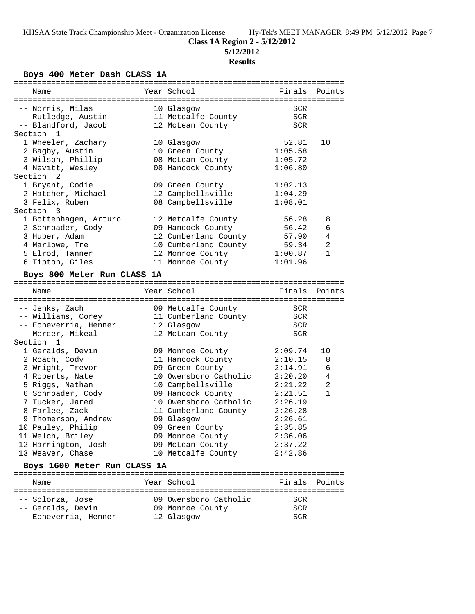**5/12/2012**

### **Results**

## **Boys 400 Meter Dash CLASS 1A**

| Name                         |  | Year School                              | Finals       | Points       |  |  |
|------------------------------|--|------------------------------------------|--------------|--------------|--|--|
|                              |  |                                          |              |              |  |  |
| -- Norris, Milas             |  | 10 Glasgow                               | <b>SCR</b>   |              |  |  |
| -- Rutledge, Austin          |  | 11 Metcalfe County                       | $\text{SCR}$ |              |  |  |
| -- Blandford, Jacob          |  | 12 McLean County                         | <b>SCR</b>   |              |  |  |
| Section<br>$\overline{1}$    |  |                                          |              |              |  |  |
| 1 Wheeler, Zachary           |  | 10 Glasgow                               | 52.81        | 10           |  |  |
| 2 Bagby, Austin              |  | 10 Green County                          | 1:05.58      |              |  |  |
| 3 Wilson, Phillip            |  | 08 McLean County                         | 1:05.72      |              |  |  |
| 4 Nevitt, Wesley             |  | 08 Hancock County                        | 1:06.80      |              |  |  |
| Section <sub>2</sub>         |  |                                          |              |              |  |  |
| 1 Bryant, Codie              |  | 09 Green County                          | 1:02.13      |              |  |  |
| 2 Hatcher, Michael           |  | 12 Campbellsville                        | 1:04.29      |              |  |  |
| 3 Felix, Ruben               |  | 08 Campbellsville                        | 1:08.01      |              |  |  |
| Section 3                    |  |                                          |              |              |  |  |
| 1 Bottenhagen, Arturo        |  | 12 Metcalfe County                       | 56.28        | 8            |  |  |
| 2 Schroader, Cody            |  | 09 Hancock County                        | 56.42        | 6            |  |  |
| 3 Huber, Adam                |  | 12 Cumberland County                     | 57.90        | 4            |  |  |
| 4 Marlowe, Tre               |  |                                          | 59.34        | 2            |  |  |
| 5 Elrod, Tanner              |  | 10 Cumberland County<br>12 Monroe County | 1:00.87      | $\mathbf{1}$ |  |  |
| 6 Tipton, Giles              |  | 11 Monroe County                         | 1:01.96      |              |  |  |
|                              |  |                                          |              |              |  |  |
| Boys 800 Meter Run CLASS 1A  |  |                                          |              |              |  |  |
| Name                         |  | Year School                              | Finals       | Points       |  |  |
|                              |  |                                          |              |              |  |  |
| -- Jenks, Zach               |  | 09 Metcalfe County                       | <b>SCR</b>   |              |  |  |
| -- Williams, Corey           |  | 11 Cumberland County                     | <b>SCR</b>   |              |  |  |
| -- Echeverria, Henner        |  | 12 Glasgow                               | <b>SCR</b>   |              |  |  |
| -- Mercer, Mikeal            |  | 12 McLean County                         | SCR          |              |  |  |
| Section 1                    |  |                                          |              |              |  |  |
| 1 Geralds, Devin             |  | 09 Monroe County                         | 2:09.74      | 10           |  |  |
| 2 Roach, Cody                |  | 11 Hancock County                        | 2:10.15      | 8            |  |  |
| 3 Wright, Trevor             |  | 09 Green County                          | 2:14.91      | 6            |  |  |
| 4 Roberts, Nate              |  | 10 Owensboro Catholic                    | 2:20.20      | 4            |  |  |
| 5 Riggs, Nathan              |  | 10 Campbellsville                        | 2:21.22      | 2            |  |  |
| 6 Schroader, Cody            |  | 09 Hancock County                        | 2:21.51      | $\mathbf{1}$ |  |  |
| 7 Tucker, Jared              |  | 10 Owensboro Catholic                    | 2:26.19      |              |  |  |
| 8 Farlee, Zack               |  | 11 Cumberland County                     | 2:26.28      |              |  |  |
| 9 Thomerson, Andrew          |  | 09 Glasgow                               | 2:26.61      |              |  |  |
| 10 Pauley, Philip            |  | 09 Green County                          | 2:35.85      |              |  |  |
| 11 Welch, Briley             |  | 09 Monroe County                         | 2:36.06      |              |  |  |
| 12 Harrington, Josh          |  | 09 McLean County                         | 2:37.22      |              |  |  |
| 13 Weaver, Chase             |  | 10 Metcalfe County                       | 2:42.86      |              |  |  |
|                              |  |                                          |              |              |  |  |
| Boys 1600 Meter Run CLASS 1A |  |                                          |              |              |  |  |

### ======================================================================= Name Year School Finals Points ======================================================================= -- Solorza, Jose 09 Owensboro Catholic SCR

| $00101$ $0000$        | US ONCHOOGLO CUCHOILO | ◡◡  |
|-----------------------|-----------------------|-----|
| -- Geralds, Devin     | 09 Monroe County      | SCR |
| -- Echeverria, Henner | 12 Glasgow            | SCR |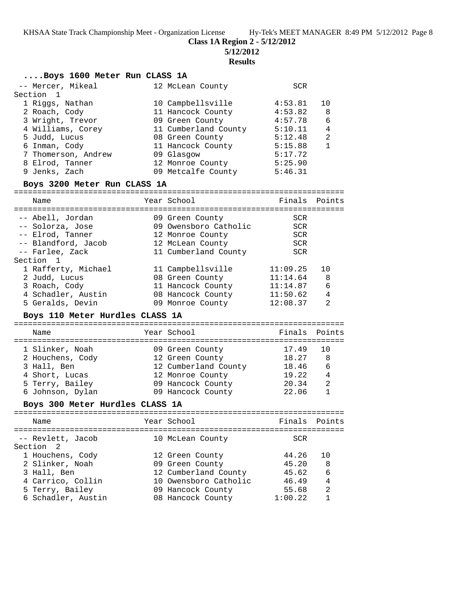**Class 1A Region 2 - 5/12/2012**

=======================================================================

**5/12/2012**

#### **Results**

## **....Boys 1600 Meter Run CLASS 1A**

| -- Mercer, Mikeal   | 12 McLean County     | <b>SCR</b> |                |
|---------------------|----------------------|------------|----------------|
| Section 1           |                      |            |                |
| 1 Riggs, Nathan     | 10 Campbellsville    | 4:53.81    | 10             |
| 2 Roach, Cody       | 11 Hancock County    | 4:53.82    | 8              |
| 3 Wright, Trevor    | 09 Green County      | 4:57.78    | 6              |
| 4 Williams, Corey   | 11 Cumberland County | 5:10.11    | 4              |
| 5 Judd, Lucus       | 08 Green County      | 5:12.48    | $\mathfrak{D}$ |
| 6 Inman, Cody       | 11 Hancock County    | 5:15.88    |                |
| 7 Thomerson, Andrew | 09 Glasgow           | 5:17.72    |                |
| 8 Elrod, Tanner     | 12 Monroe County     | 5:25.90    |                |
| 9 Jenks, Zach       | 09 Metcalfe County   | 5:46.31    |                |
|                     |                      |            |                |

### **Boys 3200 Meter Run CLASS 1A**

| Name                                                     | Year School                                                  | Finals Points                          |         |
|----------------------------------------------------------|--------------------------------------------------------------|----------------------------------------|---------|
| -- Abell, Jordan<br>-- Solorza, Jose<br>-- Elrod, Tanner | 09 Green County<br>09 Owensboro Catholic<br>12 Monroe County | <b>SCR</b><br><b>SCR</b><br><b>SCR</b> |         |
| -- Blandford, Jacob<br>-- Farlee, Zack<br>Section 1      | 12 McLean County<br>11 Cumberland County                     | <b>SCR</b><br><b>SCR</b>               |         |
| 1 Rafferty, Michael<br>2 Judd, Lucus                     | 11 Campbellsville<br>08 Green County                         | 11:09.25<br>11:14.64                   | 10<br>8 |
| 3 Roach, Cody<br>4 Schadler, Austin                      | 11 Hancock County<br>08 Hancock County                       | 11:14.87<br>11:50.62                   | 6<br>4  |
| 5 Geralds, Devin                                         | 09 Monroe County                                             | 12:08.37                               | 2       |

### **Boys 110 Meter Hurdles CLASS 1A**

|  | Name             |  | Year School          | Finals Points |     |  |  |  |  |
|--|------------------|--|----------------------|---------------|-----|--|--|--|--|
|  | 1 Slinker, Noah  |  | 09 Green County      | 17.49         | 1 O |  |  |  |  |
|  | 2 Houchens, Cody |  | 12 Green County      | 18.27         | 8   |  |  |  |  |
|  | 3 Hall, Ben      |  | 12 Cumberland County | 18.46         | 6   |  |  |  |  |
|  | 4 Short, Lucas   |  | 12 Monroe County     | 19.22         | 4   |  |  |  |  |
|  | 5 Terry, Bailey  |  | 09 Hancock County    | 20.34         | 2   |  |  |  |  |
|  | 6 Johnson, Dylan |  | 09 Hancock County    | 22.06         |     |  |  |  |  |

#### **Boys 300 Meter Hurdles CLASS 1A**

======================================================================= Name The Year School Team Points Points ======================================================================= -- Revlett, Jacob 10 McLean County Section 2 1 Houchens, Cody 12 Green County 44.26 10 2 Slinker, Noah 09 Green County 45.20 8 3 Hall, Ben 12 Cumberland County 45.62 6 4 Carrico, Collin 10 Owensboro Catholic 46.49 4 5 Terry, Bailey 09 Hancock County 55.68 2 6 Schadler, Austin 08 Hancock County 1:00.22 1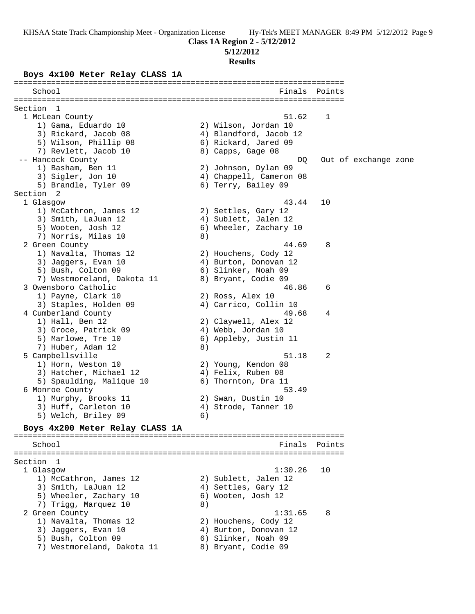**Class 1A Region 2 - 5/12/2012**

**5/12/2012**

#### **Results**

#### **Boys 4x100 Meter Relay CLASS 1A**

======================================================================= School **Finals Points** ======================================================================= Section 1<br>1 McLean County 1 McLean County 51.62 1 1) Gama, Eduardo 10 2) Wilson, Jordan 10 3) Rickard, Jacob 08 4) Blandford, Jacob 12 5) Wilson, Phillip 08 6) Rickard, Jared 09 7) Revlett, Jacob 10 8) Capps, Gage 08 -- Hancock County DQ Out of exchange zone 1) Basham, Ben 11 2) Johnson, Dylan 09 3) Sigler, Jon 10 4) Chappell, Cameron 08 5) Brandle, Tyler 09 (6) Terry, Bailey 09 Section 2 1 Glasgow 43.44 10 1) McCathron, James 12 2) Settles, Gary 12 3) Smith, LaJuan 12 4) Sublett, Jalen 12 5) Wooten, Josh 12 6) Wheeler, Zachary 10 7) Norris, Milas 10 8) 2 Green County 44.69 8 1) Navalta, Thomas 12 2) Houchens, Cody 12 3) Jaggers, Evan 10 4) Burton, Donovan 12 5) Bush, Colton 09 6) Slinker, Noah 09 7) Westmoreland, Dakota 11 and 8) Bryant, Codie 09 3 Owensboro Catholic 46.86 6 1) Payne, Clark 10 2) Ross, Alex 10 3) Staples, Holden 09 4) Carrico, Collin 10 4 Cumberland County 49.68 4 1) Hall, Ben 12 2) Claywell, Alex 12 3) Groce, Patrick 09 (4) Webb, Jordan 10 5) Marlowe, Tre 10 6) Appleby, Justin 11 7) Huber, Adam 12 (8) 5 Campbellsville 51.18 2 1) Horn, Weston 10 2) Young, Kendon 08 3) Hatcher, Michael 12 (4) Felix, Ruben 08 5) Spaulding, Malique 10 (6) Thornton, Dra 11 6 Monroe County 53.49 1) Murphy, Brooks 11 2) Swan, Dustin 10 3) Huff, Carleton 10 (4) Strode, Tanner 10 5) Welch, Briley 09 6) **Boys 4x200 Meter Relay CLASS 1A** ======================================================================= Finals Points ======================================================================= Section 1 1 Glasgow 1:30.26 10 1) McCathron, James 12 (2) Sublett, Jalen 12 3) Smith, LaJuan 12 4) Settles, Gary 12 5) Wheeler, Zachary 10  $\,$  6) Wooten, Josh 12 7) Trigg, Marquez 10 (8) 2 Green County 2 Green County 2 Green County 2 Green County 2 Green County 2 Green County 2 Green County 2 Green County 2 Green County 2 Green County 2 Green County 2 Green County 2 Green County 2 Green County 2 Green Coun 1) Navalta, Thomas 12 2) Houchens, Cody 12 3) Jaggers, Evan 10 4) Burton, Donovan 12 5) Bush, Colton 09 6) Slinker, Noah 09 7) Westmoreland, Dakota 11 and 8) Bryant, Codie 09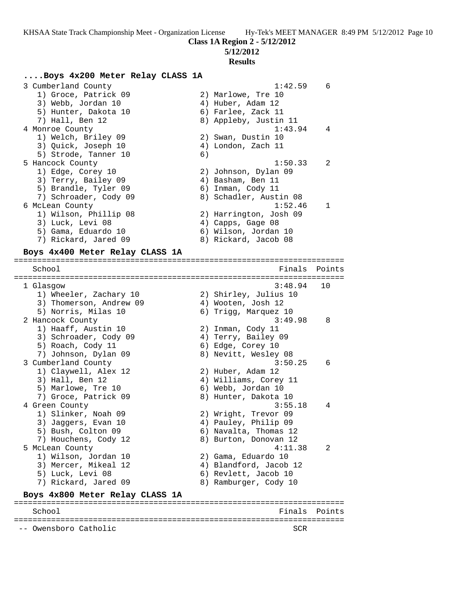## **5/12/2012**

#### **Results**

## **....Boys 4x200 Meter Relay CLASS 1A**

 3 Cumberland County 1:42.59 6 1) Groce, Patrick 09 2) Marlowe, Tre 10 3) Webb, Jordan 10 4) Huber, Adam 12 5) Hunter, Dakota 10 (6) Farlee, Zack 11 7) Hall, Ben 12 8) Appleby, Justin 11 4 Monroe County 1:43.94 4 1) Welch, Briley 09 2) Swan, Dustin 10 3) Quick, Joseph 10 (4) London, Zach 11 5) Strode, Tanner 10 (6) 5 Hancock County 1:50.33 2 1) Edge, Corey 10 2) Johnson, Dylan 09 3) Terry, Bailey 09 4) Basham, Ben 11 5) Brandle, Tyler 09 (6) Inman, Cody 11 7) Schroader, Cody 09 8) Schadler, Austin 08 6 McLean County 1:52.46 1 1) Wilson, Phillip 08 2) Harrington, Josh 09 3) Luck, Levi 08 (4) Capps, Gage 08 5) Gama, Eduardo 10 (6) Wilson, Jordan 10 7) Rickard, Jared 09 8) Rickard, Jacob 08

#### **Boys 4x400 Meter Relay CLASS 1A** =======================================================================

School **Finals Points** Points Points Points Points Points Points Points Points Points Points Points Points Points Points Points Points Points Points Points Points Points Points Points Points Points Points Points Points Poi ======================================================================= 1 Glasgow 3:48.94 10 1) Wheeler, Zachary 10 2) Shirley, Julius 10 3) Thomerson, Andrew 09 (4) Wooten, Josh 12 5) Norris, Milas 10 6) Trigg, Marquez 10 2 Hancock County 3:49.98 8 1) Haaff, Austin 10 2) Inman, Cody 11 3) Schroader, Cody 09 4) Terry, Bailey 09 5) Roach, Cody 11 6) Edge, Corey 10 7) Johnson, Dylan 09 8) Nevitt, Wesley 08 3 Cumberland County 3:50.25 6 1) Claywell, Alex 12 2) Huber, Adam 12 3) Hall, Ben 12 4) Williams, Corey 11 5) Marlowe, Tre 10 6) Webb, Jordan 10 7) Groce, Patrick 09 8) Hunter, Dakota 10 4 Green County 3:55.18 4 1) Slinker, Noah 09 2) Wright, Trevor 09 3) Jaggers, Evan 10 4) Pauley, Philip 09 5) Bush, Colton 09 6) Navalta, Thomas 12 7) Houchens, Cody 12 8) Burton, Donovan 12 5 McLean County 4:11.38 2 1) Wilson, Jordan 10 2) Gama, Eduardo 10 3) Mercer, Mikeal 12 4) Blandford, Jacob 12 5) Luck, Levi 08 6) Revlett, Jacob 10 7) Rickard, Jared 09 8) Ramburger, Cody 10 **Boys 4x800 Meter Relay CLASS 1A** ======================================================================= School **Finals** Points **Points** =======================================================================

-- Owensboro Catholic